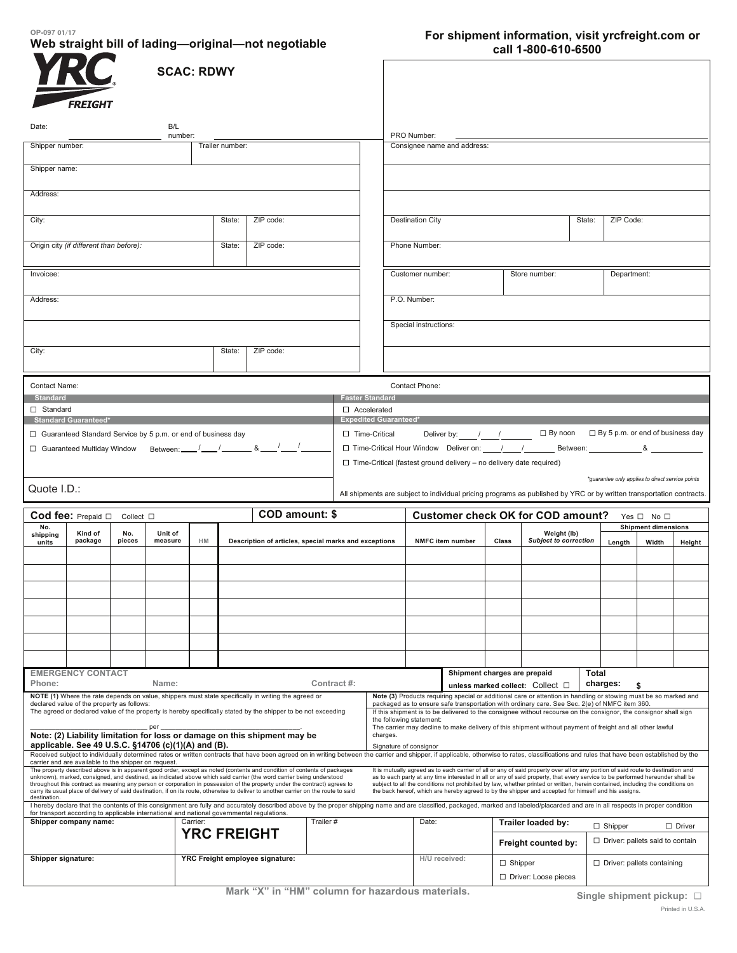| OP-097 01/17 |                                              |  |  |
|--------------|----------------------------------------------|--|--|
|              | Web straight bill of lading-original-not neg |  |  |

| Ŕ                     |
|-----------------------|
| <i><b>FREIGHT</b></i> |

**SCAC: RDWY**

# **Web straight bill of lading—original—not negotiable For shipment information, visit yrcfreight.com or call 1-800-610-6500**

|                                                                                                                                                                                                                                                                                                                                                         | <i>FREIGHT</i>                                                                                |                |                    |    |        |                                                                                                                                                                                                                                                                                                                                                                                                                                                                                                                     |                                                                                                                                                                                                                                                                                                                                                                                                                                                                                            |                    |                                                                                                |                         |                                                                            |                |                                                                                                                                                                                                                                                                                                                                                                                                                                                                                                             |        |                |                                                        |               |
|---------------------------------------------------------------------------------------------------------------------------------------------------------------------------------------------------------------------------------------------------------------------------------------------------------------------------------------------------------|-----------------------------------------------------------------------------------------------|----------------|--------------------|----|--------|---------------------------------------------------------------------------------------------------------------------------------------------------------------------------------------------------------------------------------------------------------------------------------------------------------------------------------------------------------------------------------------------------------------------------------------------------------------------------------------------------------------------|--------------------------------------------------------------------------------------------------------------------------------------------------------------------------------------------------------------------------------------------------------------------------------------------------------------------------------------------------------------------------------------------------------------------------------------------------------------------------------------------|--------------------|------------------------------------------------------------------------------------------------|-------------------------|----------------------------------------------------------------------------|----------------|-------------------------------------------------------------------------------------------------------------------------------------------------------------------------------------------------------------------------------------------------------------------------------------------------------------------------------------------------------------------------------------------------------------------------------------------------------------------------------------------------------------|--------|----------------|--------------------------------------------------------|---------------|
| B/L<br>Date:<br>number:                                                                                                                                                                                                                                                                                                                                 |                                                                                               |                |                    |    |        |                                                                                                                                                                                                                                                                                                                                                                                                                                                                                                                     |                                                                                                                                                                                                                                                                                                                                                                                                                                                                                            | PRO Number:        |                                                                                                |                         |                                                                            |                |                                                                                                                                                                                                                                                                                                                                                                                                                                                                                                             |        |                |                                                        |               |
| Shipper number:<br>Trailer number:                                                                                                                                                                                                                                                                                                                      |                                                                                               |                |                    |    |        |                                                                                                                                                                                                                                                                                                                                                                                                                                                                                                                     |                                                                                                                                                                                                                                                                                                                                                                                                                                                                                            |                    | Consignee name and address:                                                                    |                         |                                                                            |                |                                                                                                                                                                                                                                                                                                                                                                                                                                                                                                             |        |                |                                                        |               |
| Shipper name:                                                                                                                                                                                                                                                                                                                                           |                                                                                               |                |                    |    |        |                                                                                                                                                                                                                                                                                                                                                                                                                                                                                                                     |                                                                                                                                                                                                                                                                                                                                                                                                                                                                                            |                    |                                                                                                |                         |                                                                            |                |                                                                                                                                                                                                                                                                                                                                                                                                                                                                                                             |        |                |                                                        |               |
| Address:                                                                                                                                                                                                                                                                                                                                                |                                                                                               |                |                    |    |        |                                                                                                                                                                                                                                                                                                                                                                                                                                                                                                                     |                                                                                                                                                                                                                                                                                                                                                                                                                                                                                            |                    |                                                                                                |                         |                                                                            |                |                                                                                                                                                                                                                                                                                                                                                                                                                                                                                                             |        |                |                                                        |               |
| City:                                                                                                                                                                                                                                                                                                                                                   |                                                                                               |                |                    |    | State: | ZIP code:                                                                                                                                                                                                                                                                                                                                                                                                                                                                                                           |                                                                                                                                                                                                                                                                                                                                                                                                                                                                                            |                    |                                                                                                | <b>Destination City</b> |                                                                            |                |                                                                                                                                                                                                                                                                                                                                                                                                                                                                                                             | State: | ZIP Code:      |                                                        |               |
|                                                                                                                                                                                                                                                                                                                                                         | Origin city (if different than before):                                                       |                |                    |    | State: | ZIP code:                                                                                                                                                                                                                                                                                                                                                                                                                                                                                                           |                                                                                                                                                                                                                                                                                                                                                                                                                                                                                            |                    |                                                                                                | Phone Number:           |                                                                            |                |                                                                                                                                                                                                                                                                                                                                                                                                                                                                                                             |        |                |                                                        |               |
| Invoicee:                                                                                                                                                                                                                                                                                                                                               |                                                                                               |                |                    |    |        |                                                                                                                                                                                                                                                                                                                                                                                                                                                                                                                     |                                                                                                                                                                                                                                                                                                                                                                                                                                                                                            |                    |                                                                                                | Customer number:        |                                                                            |                | Store number:                                                                                                                                                                                                                                                                                                                                                                                                                                                                                               |        | Department:    |                                                        |               |
| Address:                                                                                                                                                                                                                                                                                                                                                |                                                                                               |                |                    |    |        |                                                                                                                                                                                                                                                                                                                                                                                                                                                                                                                     |                                                                                                                                                                                                                                                                                                                                                                                                                                                                                            |                    |                                                                                                | P.O. Number:            |                                                                            |                |                                                                                                                                                                                                                                                                                                                                                                                                                                                                                                             |        |                |                                                        |               |
|                                                                                                                                                                                                                                                                                                                                                         |                                                                                               |                |                    |    |        |                                                                                                                                                                                                                                                                                                                                                                                                                                                                                                                     |                                                                                                                                                                                                                                                                                                                                                                                                                                                                                            |                    |                                                                                                | Special instructions:   |                                                                            |                |                                                                                                                                                                                                                                                                                                                                                                                                                                                                                                             |        |                |                                                        |               |
| City:                                                                                                                                                                                                                                                                                                                                                   |                                                                                               |                |                    |    | State: | ZIP code:                                                                                                                                                                                                                                                                                                                                                                                                                                                                                                           |                                                                                                                                                                                                                                                                                                                                                                                                                                                                                            |                    |                                                                                                |                         |                                                                            |                |                                                                                                                                                                                                                                                                                                                                                                                                                                                                                                             |        |                |                                                        |               |
| Contact Name:                                                                                                                                                                                                                                                                                                                                           |                                                                                               |                |                    |    |        |                                                                                                                                                                                                                                                                                                                                                                                                                                                                                                                     |                                                                                                                                                                                                                                                                                                                                                                                                                                                                                            |                    |                                                                                                | <b>Contact Phone:</b>   |                                                                            |                |                                                                                                                                                                                                                                                                                                                                                                                                                                                                                                             |        |                |                                                        |               |
| <b>Standard</b><br>$\Box$ Standard                                                                                                                                                                                                                                                                                                                      |                                                                                               |                |                    |    |        |                                                                                                                                                                                                                                                                                                                                                                                                                                                                                                                     |                                                                                                                                                                                                                                                                                                                                                                                                                                                                                            | $\Box$ Accelerated | <b>Faster Standard</b>                                                                         |                         |                                                                            |                |                                                                                                                                                                                                                                                                                                                                                                                                                                                                                                             |        |                |                                                        |               |
|                                                                                                                                                                                                                                                                                                                                                         | <b>Standard Guaranteed*</b><br>□ Guaranteed Standard Service by 5 p.m. or end of business day |                |                    |    |        |                                                                                                                                                                                                                                                                                                                                                                                                                                                                                                                     |                                                                                                                                                                                                                                                                                                                                                                                                                                                                                            |                    | <b>Expedited Guaranteed*</b><br>□ Time-Critical                                                |                         | Deliver by: / /                                                            |                |                                                                                                                                                                                                                                                                                                                                                                                                                                                                                                             |        |                | $\Box$ By noon $\Box$ By 5 p.m. or end of business day |               |
|                                                                                                                                                                                                                                                                                                                                                         | □ Guaranteed Multiday Window                                                                  |                |                    |    |        | Between: $\frac{1}{1-\frac{1}{1-\frac{1}{1-\frac{1}{1-\frac{1}{1-\frac{1}{1-\frac{1}{1-\frac{1}{1-\frac{1}{1-\frac{1}{1-\frac{1}{1-\frac{1}{1-\frac{1}{1-\frac{1}{1-\frac{1}{1-\frac{1}{1-\frac{1}{1-\frac{1}{1-\frac{1}{1-\frac{1}{1-\frac{1}{1-\frac{1}{1-\frac{1}{1-\frac{1}{1-\frac{1}{1-\frac{1}{1-\frac{1}{1-\frac{1}{1-\frac{1}{1-\frac{1}{1-\frac{1}{1-\frac{1}{1-\frac{1}{1-\frac{1}{1-\frac{1}{1-\$                                                                                                       |                                                                                                                                                                                                                                                                                                                                                                                                                                                                                            |                    | □ Time-Critical Hour Window Deliver on: / /<br>Between: 8                                      |                         |                                                                            |                |                                                                                                                                                                                                                                                                                                                                                                                                                                                                                                             |        |                |                                                        |               |
|                                                                                                                                                                                                                                                                                                                                                         |                                                                                               |                |                    |    |        |                                                                                                                                                                                                                                                                                                                                                                                                                                                                                                                     |                                                                                                                                                                                                                                                                                                                                                                                                                                                                                            |                    |                                                                                                |                         | $\Box$ Time-Critical (fastest ground delivery – no delivery date required) |                |                                                                                                                                                                                                                                                                                                                                                                                                                                                                                                             |        |                | *guarantee only applies to direct service points       |               |
| Quote I.D.:                                                                                                                                                                                                                                                                                                                                             |                                                                                               |                |                    |    |        |                                                                                                                                                                                                                                                                                                                                                                                                                                                                                                                     |                                                                                                                                                                                                                                                                                                                                                                                                                                                                                            |                    |                                                                                                |                         |                                                                            |                | All shipments are subject to individual pricing programs as published by YRC or by written transportation contracts.                                                                                                                                                                                                                                                                                                                                                                                        |        |                |                                                        |               |
| No.                                                                                                                                                                                                                                                                                                                                                     | $\mathsf{Cod}$ fee: Prepaid $\Box$                                                            | Collect $\Box$ |                    |    |        | COD amount: \$                                                                                                                                                                                                                                                                                                                                                                                                                                                                                                      |                                                                                                                                                                                                                                                                                                                                                                                                                                                                                            |                    | <b>Customer check OK for COD amount?</b><br>Yes $\Box$ No $\Box$<br><b>Shipment dimensions</b> |                         |                                                                            |                |                                                                                                                                                                                                                                                                                                                                                                                                                                                                                                             |        |                |                                                        |               |
| shipping<br>units                                                                                                                                                                                                                                                                                                                                       | Kind of<br>package                                                                            | No.<br>pieces  | Unit of<br>measure | HM |        | Description of articles, special marks and exceptions                                                                                                                                                                                                                                                                                                                                                                                                                                                               |                                                                                                                                                                                                                                                                                                                                                                                                                                                                                            |                    |                                                                                                |                         | <b>NMFC</b> item number                                                    |                | Weight (lb)<br>Class<br><b>Subject to correction</b>                                                                                                                                                                                                                                                                                                                                                                                                                                                        |        | Length         | Width                                                  | Height        |
|                                                                                                                                                                                                                                                                                                                                                         |                                                                                               |                |                    |    |        |                                                                                                                                                                                                                                                                                                                                                                                                                                                                                                                     |                                                                                                                                                                                                                                                                                                                                                                                                                                                                                            |                    |                                                                                                |                         |                                                                            |                |                                                                                                                                                                                                                                                                                                                                                                                                                                                                                                             |        |                |                                                        |               |
|                                                                                                                                                                                                                                                                                                                                                         |                                                                                               |                |                    |    |        |                                                                                                                                                                                                                                                                                                                                                                                                                                                                                                                     |                                                                                                                                                                                                                                                                                                                                                                                                                                                                                            |                    |                                                                                                |                         |                                                                            |                |                                                                                                                                                                                                                                                                                                                                                                                                                                                                                                             |        |                |                                                        |               |
|                                                                                                                                                                                                                                                                                                                                                         |                                                                                               |                |                    |    |        |                                                                                                                                                                                                                                                                                                                                                                                                                                                                                                                     |                                                                                                                                                                                                                                                                                                                                                                                                                                                                                            |                    |                                                                                                |                         |                                                                            |                |                                                                                                                                                                                                                                                                                                                                                                                                                                                                                                             |        |                |                                                        |               |
|                                                                                                                                                                                                                                                                                                                                                         |                                                                                               |                |                    |    |        |                                                                                                                                                                                                                                                                                                                                                                                                                                                                                                                     |                                                                                                                                                                                                                                                                                                                                                                                                                                                                                            |                    |                                                                                                |                         |                                                                            |                |                                                                                                                                                                                                                                                                                                                                                                                                                                                                                                             |        |                |                                                        |               |
|                                                                                                                                                                                                                                                                                                                                                         |                                                                                               |                |                    |    |        |                                                                                                                                                                                                                                                                                                                                                                                                                                                                                                                     |                                                                                                                                                                                                                                                                                                                                                                                                                                                                                            |                    |                                                                                                |                         |                                                                            |                |                                                                                                                                                                                                                                                                                                                                                                                                                                                                                                             |        |                |                                                        |               |
| Phone:                                                                                                                                                                                                                                                                                                                                                  | <b>EMERGENCY CONTACT</b>                                                                      |                | Name:              |    |        |                                                                                                                                                                                                                                                                                                                                                                                                                                                                                                                     | Contract #:                                                                                                                                                                                                                                                                                                                                                                                                                                                                                |                    |                                                                                                |                         | Shipment charges are prepaid                                               |                | unless marked collect: Collect □                                                                                                                                                                                                                                                                                                                                                                                                                                                                            | Total  | charges:       | \$                                                     |               |
| NOTE (1) Where the rate depends on value, shippers must state specifically in writing the agreed or<br>declared value of the property as follows:<br>The agreed or declared value of the property is hereby specifically stated by the shipper to be not exceeding<br>per_<br>Note: (2) Liability limitation for loss or damage on this shipment may be |                                                                                               |                |                    |    |        |                                                                                                                                                                                                                                                                                                                                                                                                                                                                                                                     | Note (3) Products requiring special or additional care or attention in handling or stowing must be so marked and<br>packaged as to ensure safe transportation with ordinary care. See Sec. 2(e) of NMFC item 360.<br>If this shipment is to be delivered to the consignee without recourse on the consignor, the consignor shall sign<br>the following statement:<br>The carrier may decline to make delivery of this shipment without payment of freight and all other lawful<br>charges. |                    |                                                                                                |                         |                                                                            |                |                                                                                                                                                                                                                                                                                                                                                                                                                                                                                                             |        |                |                                                        |               |
|                                                                                                                                                                                                                                                                                                                                                         | applicable. See 49 U.S.C. §14706 (c)(1)(A) and (B).                                           |                |                    |    |        | Received subject to individually determined rates or written contracts that have been agreed on in writing between the carrier and shipper, if applicable, otherwise to rates, classifications and rules that have been establ                                                                                                                                                                                                                                                                                      |                                                                                                                                                                                                                                                                                                                                                                                                                                                                                            |                    |                                                                                                | Signature of consignor  |                                                                            |                |                                                                                                                                                                                                                                                                                                                                                                                                                                                                                                             |        |                |                                                        |               |
| destination.                                                                                                                                                                                                                                                                                                                                            | carrier and are available to the shipper on request.                                          |                |                    |    |        | The property described above is in apparent good order, except as noted (contents and condition of contents of packages<br>unknown), marked, consigned, and destined, as indicated above which said carrier (the word carrier being understood<br>throughout this contract as meaning any person or corporation in possession of the property under the contract) agrees to<br>carry its usual place of delivery of said destination, if on its route, otherwise to deliver to another carrier on the route to said |                                                                                                                                                                                                                                                                                                                                                                                                                                                                                            |                    |                                                                                                |                         |                                                                            |                | It is mutually agreed as to each carrier of all or any of said property over all or any portion of said route to destination and<br>as to each party at any time interested in all or any of said property, that every service to be performed hereunder shall be<br>subject to all the conditions not prohibited by law, whether printed or written, herein contained, including the conditions on<br>the back hereof, which are hereby agreed to by the shipper and accepted for himself and his assigns. |        |                |                                                        |               |
|                                                                                                                                                                                                                                                                                                                                                         |                                                                                               |                |                    |    |        | I hereby declare that the contents of this consignment are fully and accurately described above by the proper shipping name and are classified, packaged, marked and labeled/placarded and are in all respects in proper condi                                                                                                                                                                                                                                                                                      |                                                                                                                                                                                                                                                                                                                                                                                                                                                                                            |                    |                                                                                                |                         |                                                                            |                |                                                                                                                                                                                                                                                                                                                                                                                                                                                                                                             |        |                |                                                        |               |
| for transport according to applicable international and national governmental regulations.<br>Shipper company name:<br>Carrier:<br><b>YRC FREIGHT</b>                                                                                                                                                                                                   |                                                                                               |                |                    |    |        |                                                                                                                                                                                                                                                                                                                                                                                                                                                                                                                     |                                                                                                                                                                                                                                                                                                                                                                                                                                                                                            |                    |                                                                                                |                         |                                                                            |                |                                                                                                                                                                                                                                                                                                                                                                                                                                                                                                             |        |                |                                                        |               |
|                                                                                                                                                                                                                                                                                                                                                         |                                                                                               |                |                    |    |        |                                                                                                                                                                                                                                                                                                                                                                                                                                                                                                                     | Trailer#                                                                                                                                                                                                                                                                                                                                                                                                                                                                                   |                    |                                                                                                | Date:                   |                                                                            |                | Trailer loaded by:                                                                                                                                                                                                                                                                                                                                                                                                                                                                                          |        | $\Box$ Shipper | $\Box$ Driver: pallets said to contain                 | $\Box$ Driver |
| Shipper signature:                                                                                                                                                                                                                                                                                                                                      |                                                                                               |                |                    |    |        | YRC Freight employee signature:                                                                                                                                                                                                                                                                                                                                                                                                                                                                                     |                                                                                                                                                                                                                                                                                                                                                                                                                                                                                            |                    |                                                                                                | H/U received:           |                                                                            | $\Box$ Shipper | Freight counted by:<br>Driver: Loose pieces                                                                                                                                                                                                                                                                                                                                                                                                                                                                 |        |                | $\Box$ Driver: pallets containing                      |               |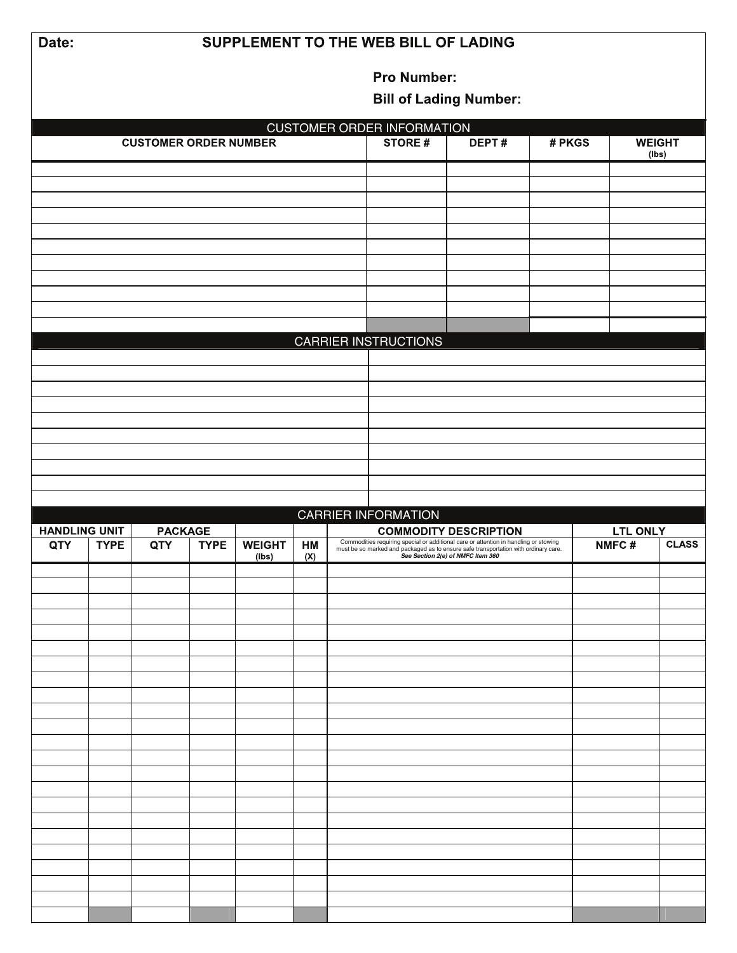| Date: |                                        |                              |             |               |     | SUPPLEMENT TO THE WEB BILL OF LADING |                                                                                                                                                                                                                  |        |       |                 |              |
|-------|----------------------------------------|------------------------------|-------------|---------------|-----|--------------------------------------|------------------------------------------------------------------------------------------------------------------------------------------------------------------------------------------------------------------|--------|-------|-----------------|--------------|
|       |                                        |                              |             |               |     | <b>Pro Number:</b>                   |                                                                                                                                                                                                                  |        |       |                 |              |
|       |                                        |                              |             |               |     |                                      | <b>Bill of Lading Number:</b>                                                                                                                                                                                    |        |       |                 |              |
|       |                                        |                              |             |               |     | <b>CUSTOMER ORDER INFORMATION</b>    |                                                                                                                                                                                                                  |        |       |                 |              |
|       |                                        | <b>CUSTOMER ORDER NUMBER</b> |             |               |     | <b>STORE#</b>                        | DEPT#                                                                                                                                                                                                            | # PKGS |       | <b>WEIGHT</b>   |              |
|       |                                        |                              |             |               |     |                                      |                                                                                                                                                                                                                  |        |       | (Ibs)           |              |
|       |                                        |                              |             |               |     |                                      |                                                                                                                                                                                                                  |        |       |                 |              |
|       |                                        |                              |             |               |     |                                      |                                                                                                                                                                                                                  |        |       |                 |              |
|       |                                        |                              |             |               |     |                                      |                                                                                                                                                                                                                  |        |       |                 |              |
|       |                                        |                              |             |               |     |                                      |                                                                                                                                                                                                                  |        |       |                 |              |
|       |                                        |                              |             |               |     |                                      |                                                                                                                                                                                                                  |        |       |                 |              |
|       |                                        |                              |             |               |     |                                      |                                                                                                                                                                                                                  |        |       |                 |              |
|       |                                        |                              |             |               |     |                                      |                                                                                                                                                                                                                  |        |       |                 |              |
|       |                                        |                              |             |               |     | <b>CARRIER INSTRUCTIONS</b>          |                                                                                                                                                                                                                  |        |       |                 |              |
|       |                                        |                              |             |               |     |                                      |                                                                                                                                                                                                                  |        |       |                 |              |
|       |                                        |                              |             |               |     |                                      |                                                                                                                                                                                                                  |        |       |                 |              |
|       |                                        |                              |             |               |     |                                      |                                                                                                                                                                                                                  |        |       |                 |              |
|       |                                        |                              |             |               |     |                                      |                                                                                                                                                                                                                  |        |       |                 |              |
|       |                                        |                              |             |               |     |                                      |                                                                                                                                                                                                                  |        |       |                 |              |
|       |                                        |                              |             |               |     |                                      |                                                                                                                                                                                                                  |        |       |                 |              |
|       |                                        |                              |             |               |     |                                      |                                                                                                                                                                                                                  |        |       |                 |              |
|       |                                        |                              |             |               |     |                                      |                                                                                                                                                                                                                  |        |       |                 |              |
|       | <b>HANDLING UNIT</b><br><b>PACKAGE</b> |                              |             |               |     |                                      |                                                                                                                                                                                                                  |        |       |                 |              |
|       |                                        |                              |             |               |     | <b>CARRIER INFORMATION</b>           | <b>COMMODITY DESCRIPTION</b>                                                                                                                                                                                     |        |       | <b>LTL ONLY</b> |              |
| QTY   | <b>TYPE</b>                            | QTY                          | <b>TYPE</b> | <b>WEIGHT</b> | HM  |                                      | Commodities requiring special or additional care or attention in handling or stowing<br>must be so marked and packaged as to ensure safe transportation with ordinary care.<br>See Section 2(e) of NMFC Item 360 |        | NMFC# |                 | <b>CLASS</b> |
|       |                                        |                              |             | (lbs)         | (X) |                                      |                                                                                                                                                                                                                  |        |       |                 |              |
|       |                                        |                              |             |               |     |                                      |                                                                                                                                                                                                                  |        |       |                 |              |
|       |                                        |                              |             |               |     |                                      |                                                                                                                                                                                                                  |        |       |                 |              |
|       |                                        |                              |             |               |     |                                      |                                                                                                                                                                                                                  |        |       |                 |              |
|       |                                        |                              |             |               |     |                                      |                                                                                                                                                                                                                  |        |       |                 |              |
|       |                                        |                              |             |               |     |                                      |                                                                                                                                                                                                                  |        |       |                 |              |
|       |                                        |                              |             |               |     |                                      |                                                                                                                                                                                                                  |        |       |                 |              |
|       |                                        |                              |             |               |     |                                      |                                                                                                                                                                                                                  |        |       |                 |              |
|       |                                        |                              |             |               |     |                                      |                                                                                                                                                                                                                  |        |       |                 |              |
|       |                                        |                              |             |               |     |                                      |                                                                                                                                                                                                                  |        |       |                 |              |
|       |                                        |                              |             |               |     |                                      |                                                                                                                                                                                                                  |        |       |                 |              |
|       |                                        |                              |             |               |     |                                      |                                                                                                                                                                                                                  |        |       |                 |              |
|       |                                        |                              |             |               |     |                                      |                                                                                                                                                                                                                  |        |       |                 |              |
|       |                                        |                              |             |               |     |                                      |                                                                                                                                                                                                                  |        |       |                 |              |
|       |                                        |                              |             |               |     |                                      |                                                                                                                                                                                                                  |        |       |                 |              |
|       |                                        |                              |             |               |     |                                      |                                                                                                                                                                                                                  |        |       |                 |              |